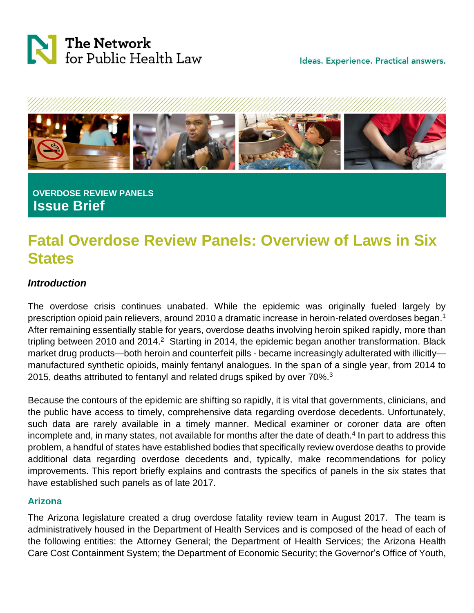



## **OVERDOSE REVIEW PANELS Issue Brief**

# **Fatal Overdose Review Panels: Overview of Laws in Six States**

### *Introduction*

The overdose crisis continues unabated. While the epidemic was originally fueled largely by prescription opioid pain relievers, around 2010 a dramatic increase in heroin-related overdoses began. 1 After remaining essentially stable for years, overdose deaths involving heroin spiked rapidly, more than tripling between 2010 and 2014.<sup>2</sup> Starting in 2014, the epidemic began another transformation. Black market drug products—both heroin and counterfeit pills - became increasingly adulterated with illicitly manufactured synthetic opioids, mainly fentanyl analogues. In the span of a single year, from 2014 to 2015, deaths attributed to fentanyl and related drugs spiked by over 70%.<sup>3</sup>

Because the contours of the epidemic are shifting so rapidly, it is vital that governments, clinicians, and the public have access to timely, comprehensive data regarding overdose decedents. Unfortunately, such data are rarely available in a timely manner. Medical examiner or coroner data are often incomplete and, in many states, not available for months after the date of death.<sup>4</sup> In part to address this problem, a handful of states have established bodies that specifically review overdose deaths to provide additional data regarding overdose decedents and, typically, make recommendations for policy improvements. This report briefly explains and contrasts the specifics of panels in the six states that have established such panels as of late 2017.

#### **Arizona**

The Arizona legislature created a drug overdose fatality review team in August 2017. The team is administratively housed in the Department of Health Services and is composed of the head of each of the following entities: the Attorney General; the Department of Health Services; the Arizona Health Care Cost Containment System; the Department of Economic Security; the Governor's Office of Youth,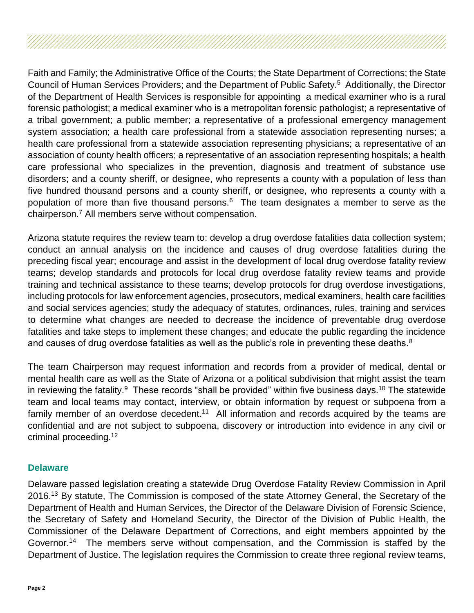Faith and Family; the Administrative Office of the Courts; the State Department of Corrections; the State Council of Human Services Providers; and the Department of Public Safety.<sup>5</sup> Additionally, the Director of the Department of Health Services is responsible for appointing a medical examiner who is a rural forensic pathologist; a medical examiner who is a metropolitan forensic pathologist; a representative of a tribal government; a public member; a representative of a professional emergency management system association; a health care professional from a statewide association representing nurses; a health care professional from a statewide association representing physicians; a representative of an association of county health officers; a representative of an association representing hospitals; a health care professional who specializes in the prevention, diagnosis and treatment of substance use disorders; and a county sheriff, or designee, who represents a county with a population of less than five hundred thousand persons and a county sheriff, or designee, who represents a county with a population of more than five thousand persons.<sup>6</sup> The team designates a member to serve as the chairperson.<sup>7</sup> All members serve without compensation.

Arizona statute requires the review team to: develop a drug overdose fatalities data collection system; conduct an annual analysis on the incidence and causes of drug overdose fatalities during the preceding fiscal year; encourage and assist in the development of local drug overdose fatality review teams; develop standards and protocols for local drug overdose fatality review teams and provide training and technical assistance to these teams; develop protocols for drug overdose investigations, including protocols for law enforcement agencies, prosecutors, medical examiners, health care facilities and social services agencies; study the adequacy of statutes, ordinances, rules, training and services to determine what changes are needed to decrease the incidence of preventable drug overdose fatalities and take steps to implement these changes; and educate the public regarding the incidence and causes of drug overdose fatalities as well as the public's role in preventing these deaths.  $8$ 

The team Chairperson may request information and records from a provider of medical, dental or mental health care as well as the State of Arizona or a political subdivision that might assist the team in reviewing the fatality.<sup>9</sup> These records "shall be provided" within five business days.<sup>10</sup> The statewide team and local teams may contact, interview, or obtain information by request or subpoena from a family member of an overdose decedent.<sup>11</sup> All information and records acquired by the teams are confidential and are not subject to subpoena, discovery or introduction into evidence in any civil or criminal proceeding.<sup>12</sup>

#### **Delaware**

Delaware passed legislation creating a statewide Drug Overdose Fatality Review Commission in April 2016.<sup>13</sup> By statute, The Commission is composed of the state Attorney General, the Secretary of the Department of Health and Human Services, the Director of the Delaware Division of Forensic Science, the Secretary of Safety and Homeland Security, the Director of the Division of Public Health, the Commissioner of the Delaware Department of Corrections, and eight members appointed by the Governor.<sup>14</sup> The members serve without compensation, and the Commission is staffed by the Department of Justice. The legislation requires the Commission to create three regional review teams,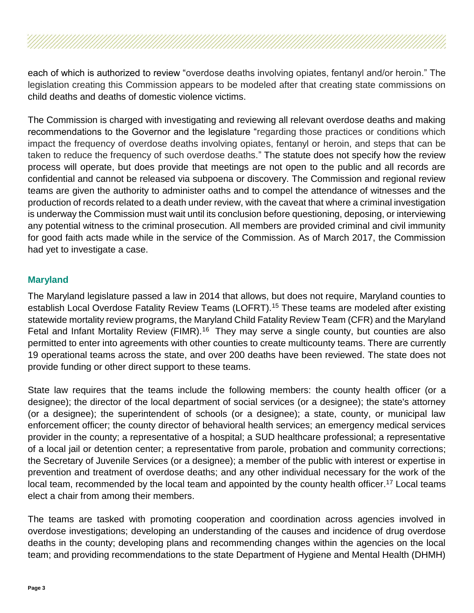each of which is authorized to review "overdose deaths involving opiates, fentanyl and/or heroin." The legislation creating this Commission appears to be modeled after that creating state commissions on child deaths and deaths of domestic violence victims.

The Commission is charged with investigating and reviewing all relevant overdose deaths and making recommendations to the Governor and the legislature "regarding those practices or conditions which impact the frequency of overdose deaths involving opiates, fentanyl or heroin, and steps that can be taken to reduce the frequency of such overdose deaths." The statute does not specify how the review process will operate, but does provide that meetings are not open to the public and all records are confidential and cannot be released via subpoena or discovery. The Commission and regional review teams are given the authority to administer oaths and to compel the attendance of witnesses and the production of records related to a death under review, with the caveat that where a criminal investigation is underway the Commission must wait until its conclusion before questioning, deposing, or interviewing any potential witness to the criminal prosecution. All members are provided criminal and civil immunity for good faith acts made while in the service of the Commission. As of March 2017, the Commission had yet to investigate a case.

#### **Maryland**

The Maryland legislature passed a law in 2014 that allows, but does not require, Maryland counties to establish Local Overdose Fatality Review Teams (LOFRT).<sup>15</sup> These teams are modeled after existing statewide mortality review programs, the Maryland Child Fatality Review Team (CFR) and the Maryland Fetal and Infant Mortality Review (FIMR).<sup>16</sup> They may serve a single county, but counties are also permitted to enter into agreements with other counties to create multicounty teams. There are currently 19 operational teams across the state, and over 200 deaths have been reviewed. The state does not provide funding or other direct support to these teams.

State law requires that the teams include the following members: the county health officer (or a designee); the director of the local department of social services (or a designee); the state's attorney (or a designee); the superintendent of schools (or a designee); a state, county, or municipal law enforcement officer; the county director of behavioral health services; an emergency medical services provider in the county; a representative of a hospital; a SUD healthcare professional; a representative of a local jail or detention center; a representative from parole, probation and community corrections; the Secretary of Juvenile Services (or a designee); a member of the public with interest or expertise in prevention and treatment of overdose deaths; and any other individual necessary for the work of the local team, recommended by the local team and appointed by the county health officer.<sup>17</sup> Local teams elect a chair from among their members.

The teams are tasked with promoting cooperation and coordination across agencies involved in overdose investigations; developing an understanding of the causes and incidence of drug overdose deaths in the county; developing plans and recommending changes within the agencies on the local team; and providing recommendations to the state Department of Hygiene and Mental Health (DHMH)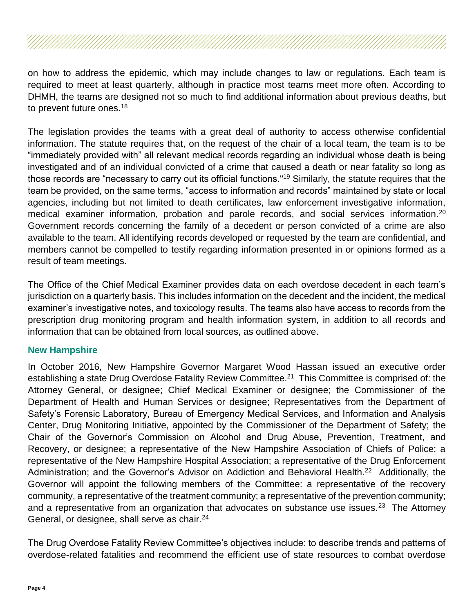on how to address the epidemic, which may include changes to law or regulations. Each team is required to meet at least quarterly, although in practice most teams meet more often. According to DHMH, the teams are designed not so much to find additional information about previous deaths, but to prevent future ones.<sup>18</sup>

The legislation provides the teams with a great deal of authority to access otherwise confidential information. The statute requires that, on the request of the chair of a local team, the team is to be "immediately provided with" all relevant medical records regarding an individual whose death is being investigated and of an individual convicted of a crime that caused a death or near fatality so long as those records are "necessary to carry out its official functions."<sup>19</sup> Similarly, the statute requires that the team be provided, on the same terms, "access to information and records" maintained by state or local agencies, including but not limited to death certificates, law enforcement investigative information, medical examiner information, probation and parole records, and social services information.<sup>20</sup> Government records concerning the family of a decedent or person convicted of a crime are also available to the team. All identifying records developed or requested by the team are confidential, and members cannot be compelled to testify regarding information presented in or opinions formed as a result of team meetings.

The Office of the Chief Medical Examiner provides data on each overdose decedent in each team's jurisdiction on a quarterly basis. This includes information on the decedent and the incident, the medical examiner's investigative notes, and toxicology results. The teams also have access to records from the prescription drug monitoring program and health information system, in addition to all records and information that can be obtained from local sources, as outlined above.

#### **New Hampshire**

In October 2016, New Hampshire Governor Margaret Wood Hassan issued an executive order establishing a state Drug Overdose Fatality Review Committee.<sup>21</sup> This Committee is comprised of: the Attorney General, or designee; Chief Medical Examiner or designee; the Commissioner of the Department of Health and Human Services or designee; Representatives from the Department of Safety's Forensic Laboratory, Bureau of Emergency Medical Services, and Information and Analysis Center, Drug Monitoring Initiative, appointed by the Commissioner of the Department of Safety; the Chair of the Governor's Commission on Alcohol and Drug Abuse, Prevention, Treatment, and Recovery, or designee; a representative of the New Hampshire Association of Chiefs of Police; a representative of the New Hampshire Hospital Association; a representative of the Drug Enforcement Administration; and the Governor's Advisor on Addiction and Behavioral Health.<sup>22</sup> Additionally, the Governor will appoint the following members of the Committee: a representative of the recovery community, a representative of the treatment community; a representative of the prevention community; and a representative from an organization that advocates on substance use issues.<sup>23</sup> The Attorney General, or designee, shall serve as chair.<sup>24</sup>

The Drug Overdose Fatality Review Committee's objectives include: to describe trends and patterns of overdose-related fatalities and recommend the efficient use of state resources to combat overdose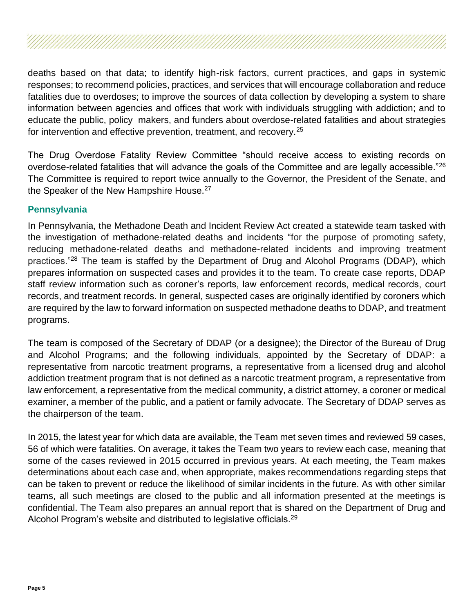deaths based on that data; to identify high-risk factors, current practices, and gaps in systemic responses; to recommend policies, practices, and services that will encourage collaboration and reduce fatalities due to overdoses; to improve the sources of data collection by developing a system to share information between agencies and offices that work with individuals struggling with addiction; and to educate the public, policy makers, and funders about overdose-related fatalities and about strategies for intervention and effective prevention, treatment, and recovery.<sup>25</sup>

The Drug Overdose Fatality Review Committee "should receive access to existing records on overdose-related fatalities that will advance the goals of the Committee and are legally accessible."<sup>26</sup> The Committee is required to report twice annually to the Governor, the President of the Senate, and the Speaker of the New Hampshire House.<sup>27</sup>

#### **Pennsylvania**

In Pennsylvania, the Methadone Death and Incident Review Act created a statewide team tasked with the investigation of methadone-related deaths and incidents "for the purpose of promoting safety, reducing methadone-related deaths and methadone-related incidents and improving treatment practices."<sup>28</sup> The team is staffed by the Department of Drug and Alcohol Programs (DDAP), which prepares information on suspected cases and provides it to the team. To create case reports, DDAP staff review information such as coroner's reports, law enforcement records, medical records, court records, and treatment records. In general, suspected cases are originally identified by coroners which are required by the law to forward information on suspected methadone deaths to DDAP, and treatment programs.

The team is composed of the Secretary of DDAP (or a designee); the Director of the Bureau of Drug and Alcohol Programs; and the following individuals, appointed by the Secretary of DDAP: a representative from narcotic treatment programs, a representative from a licensed drug and alcohol addiction treatment program that is not defined as a narcotic treatment program, a representative from law enforcement, a representative from the medical community, a district attorney, a coroner or medical examiner, a member of the public, and a patient or family advocate. The Secretary of DDAP serves as the chairperson of the team.

In 2015, the latest year for which data are available, the Team met seven times and reviewed 59 cases, 56 of which were fatalities. On average, it takes the Team two years to review each case, meaning that some of the cases reviewed in 2015 occurred in previous years. At each meeting, the Team makes determinations about each case and, when appropriate, makes recommendations regarding steps that can be taken to prevent or reduce the likelihood of similar incidents in the future. As with other similar teams, all such meetings are closed to the public and all information presented at the meetings is confidential. The Team also prepares an annual report that is shared on the Department of Drug and Alcohol Program's website and distributed to legislative officials.<sup>29</sup>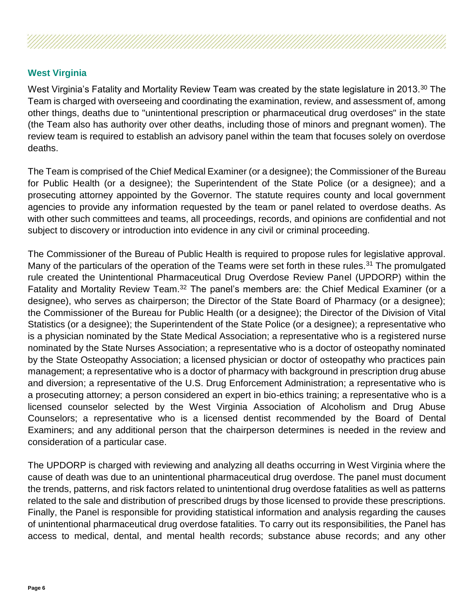#### **West Virginia**

West Virginia's Fatality and Mortality Review Team was created by the state legislature in 2013.<sup>30</sup> The Team is charged with overseeing and coordinating the examination, review, and assessment of, among other things, deaths due to "unintentional prescription or pharmaceutical drug overdoses" in the state (the Team also has authority over other deaths, including those of minors and pregnant women). The review team is required to establish an advisory panel within the team that focuses solely on overdose deaths.

The Team is comprised of the Chief Medical Examiner (or a designee); the Commissioner of the Bureau for Public Health (or a designee); the Superintendent of the State Police (or a designee); and a prosecuting attorney appointed by the Governor. The statute requires county and local government agencies to provide any information requested by the team or panel related to overdose deaths. As with other such committees and teams, all proceedings, records, and opinions are confidential and not subject to discovery or introduction into evidence in any civil or criminal proceeding.

The Commissioner of the Bureau of Public Health is required to propose rules for legislative approval. Many of the particulars of the operation of the Teams were set forth in these rules.<sup>31</sup> The promulgated rule created the Unintentional Pharmaceutical Drug Overdose Review Panel (UPDORP) within the Fatality and Mortality Review Team.<sup>32</sup> The panel's members are: the Chief Medical Examiner (or a designee), who serves as chairperson; the Director of the State Board of Pharmacy (or a designee); the Commissioner of the Bureau for Public Health (or a designee); the Director of the Division of Vital Statistics (or a designee); the Superintendent of the State Police (or a designee); a representative who is a physician nominated by the State Medical Association; a representative who is a registered nurse nominated by the State Nurses Association; a representative who is a doctor of osteopathy nominated by the State Osteopathy Association; a licensed physician or doctor of osteopathy who practices pain management; a representative who is a doctor of pharmacy with background in prescription drug abuse and diversion; a representative of the U.S. Drug Enforcement Administration; a representative who is a prosecuting attorney; a person considered an expert in bio-ethics training; a representative who is a licensed counselor selected by the West Virginia Association of Alcoholism and Drug Abuse Counselors; a representative who is a licensed dentist recommended by the Board of Dental Examiners; and any additional person that the chairperson determines is needed in the review and consideration of a particular case.

The UPDORP is charged with reviewing and analyzing all deaths occurring in West Virginia where the cause of death was due to an unintentional pharmaceutical drug overdose. The panel must document the trends, patterns, and risk factors related to unintentional drug overdose fatalities as well as patterns related to the sale and distribution of prescribed drugs by those licensed to provide these prescriptions. Finally, the Panel is responsible for providing statistical information and analysis regarding the causes of unintentional pharmaceutical drug overdose fatalities. To carry out its responsibilities, the Panel has access to medical, dental, and mental health records; substance abuse records; and any other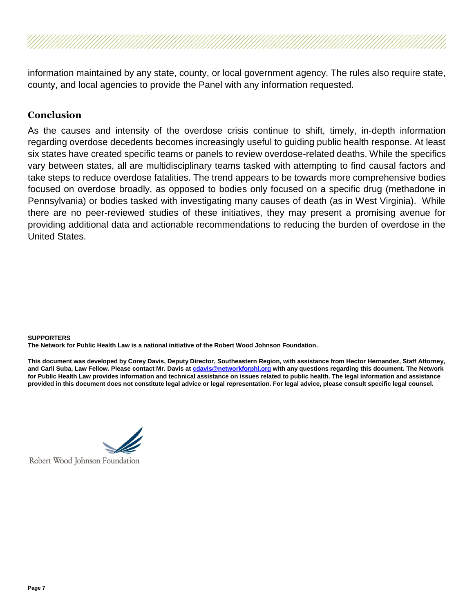information maintained by any state, county, or local government agency. The rules also require state, county, and local agencies to provide the Panel with any information requested.

#### **Conclusion**

As the causes and intensity of the overdose crisis continue to shift, timely, in-depth information regarding overdose decedents becomes increasingly useful to guiding public health response. At least six states have created specific teams or panels to review overdose-related deaths. While the specifics vary between states, all are multidisciplinary teams tasked with attempting to find causal factors and take steps to reduce overdose fatalities. The trend appears to be towards more comprehensive bodies focused on overdose broadly, as opposed to bodies only focused on a specific drug (methadone in Pennsylvania) or bodies tasked with investigating many causes of death (as in West Virginia). While there are no peer-reviewed studies of these initiatives, they may present a promising avenue for providing additional data and actionable recommendations to reducing the burden of overdose in the United States.

#### **SUPPORTERS**

**The Network for Public Health Law is a national initiative of the Robert Wood Johnson Foundation.**

**This document was developed by Corey Davis, Deputy Director, Southeastern Region, with assistance from Hector Hernandez, Staff Attorney, and Carli Suba, Law Fellow. Please contact Mr. Davis at [cdavis@networkforphl.org](mailto:cdavis@networkforphl.org) with any questions regarding this document. The Network for Public Health Law provides information and technical assistance on issues related to public health. The legal information and assistance provided in this document does not constitute legal advice or legal representation. For legal advice, please consult specific legal counsel.**